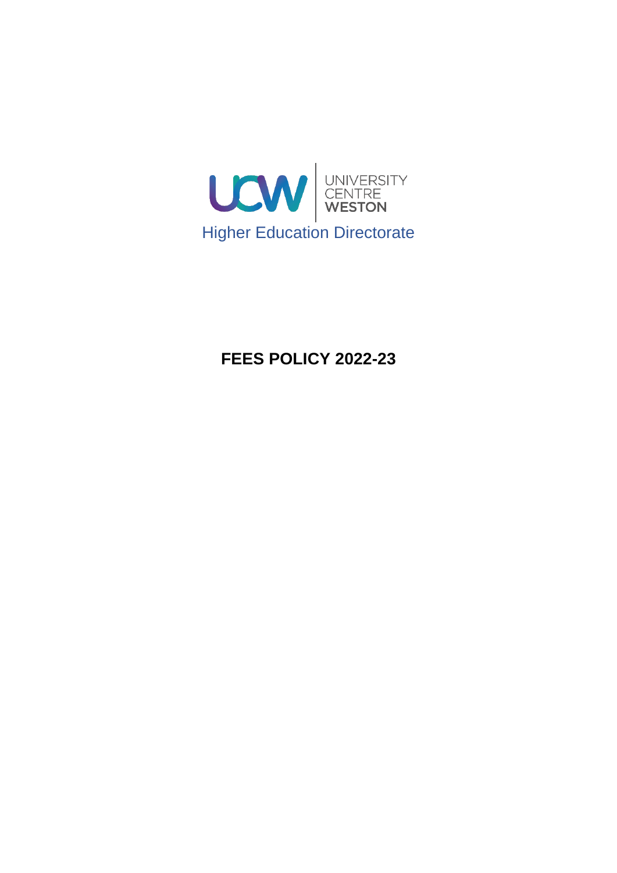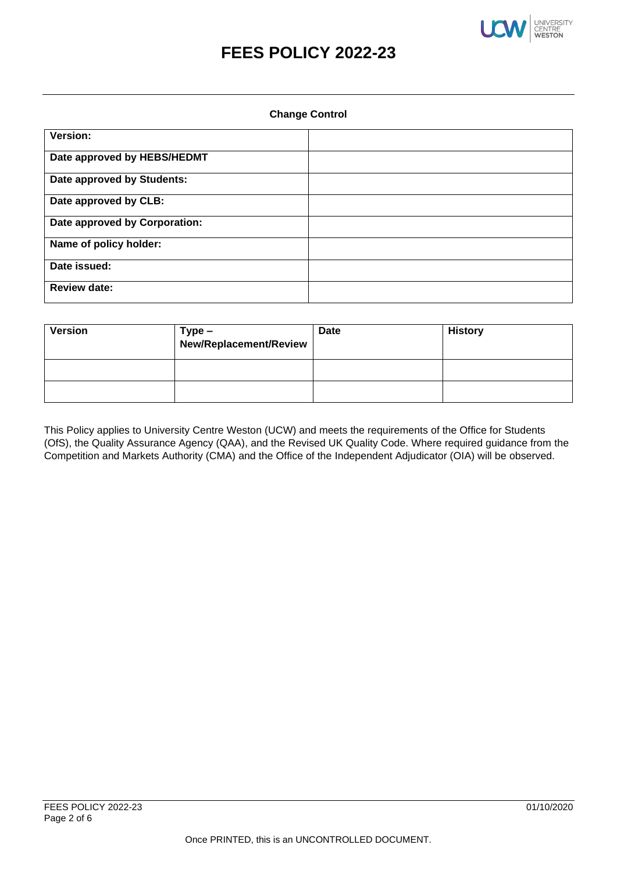

#### **Change Control**

| Version:                      |  |
|-------------------------------|--|
| Date approved by HEBS/HEDMT   |  |
| Date approved by Students:    |  |
| Date approved by CLB:         |  |
| Date approved by Corporation: |  |
| Name of policy holder:        |  |
| Date issued:                  |  |
| <b>Review date:</b>           |  |

| <b>Version</b> | $Type -$<br>New/Replacement/Review | <b>Date</b> | <b>History</b> |
|----------------|------------------------------------|-------------|----------------|
|                |                                    |             |                |
|                |                                    |             |                |

This Policy applies to University Centre Weston (UCW) and meets the requirements of the Office for Students (OfS), the Quality Assurance Agency (QAA), and the Revised UK Quality Code. Where required guidance from the Competition and Markets Authority (CMA) and the Office of the Independent Adjudicator (OIA) will be observed.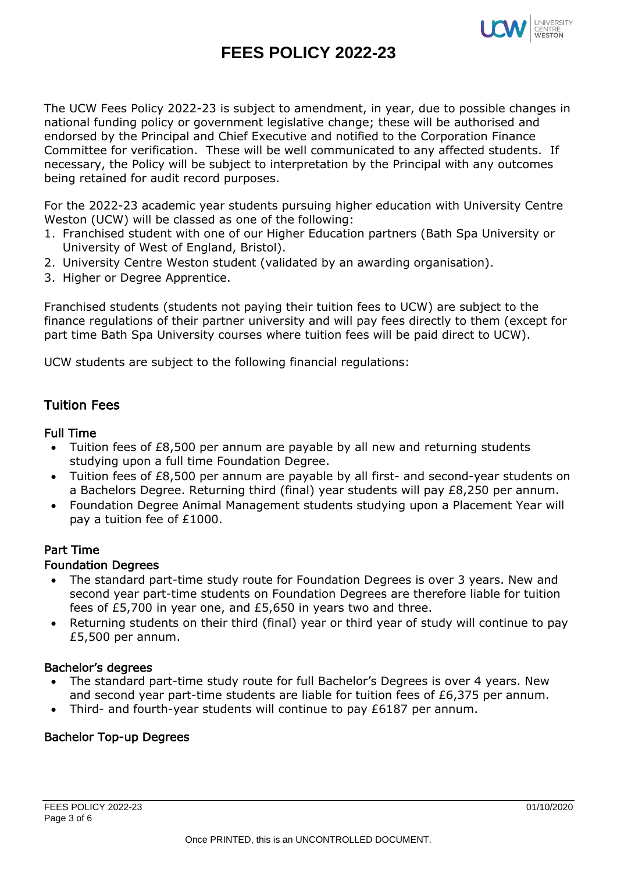

The UCW Fees Policy 2022-23 is subject to amendment, in year, due to possible changes in national funding policy or government legislative change; these will be authorised and endorsed by the Principal and Chief Executive and notified to the Corporation Finance Committee for verification. These will be well communicated to any affected students. If necessary, the Policy will be subject to interpretation by the Principal with any outcomes being retained for audit record purposes.

For the 2022-23 academic year students pursuing higher education with University Centre Weston (UCW) will be classed as one of the following:

- 1. Franchised student with one of our Higher Education partners (Bath Spa University or University of West of England, Bristol).
- 2. University Centre Weston student (validated by an awarding organisation).
- 3. Higher or Degree Apprentice.

Franchised students (students not paying their tuition fees to UCW) are subject to the finance regulations of their partner university and will pay fees directly to them (except for part time Bath Spa University courses where tuition fees will be paid direct to UCW).

UCW students are subject to the following financial regulations:

# Tuition Fees

### Full Time

- Tuition fees of £8,500 per annum are payable by all new and returning students studying upon a full time Foundation Degree.
- Tuition fees of £8,500 per annum are payable by all first- and second-year students on a Bachelors Degree. Returning third (final) year students will pay £8,250 per annum.
- Foundation Degree Animal Management students studying upon a Placement Year will pay a tuition fee of £1000.

# Part Time

#### Foundation Degrees

- The standard part-time study route for Foundation Degrees is over 3 years. New and second year part-time students on Foundation Degrees are therefore liable for tuition fees of £5,700 in year one, and £5,650 in years two and three.
- Returning students on their third (final) year or third year of study will continue to pay £5,500 per annum.

#### Bachelor's degrees

- The standard part-time study route for full Bachelor's Degrees is over 4 years. New and second year part-time students are liable for tuition fees of £6,375 per annum.
- Third- and fourth-year students will continue to pay £6187 per annum.

# Bachelor Top-up Degrees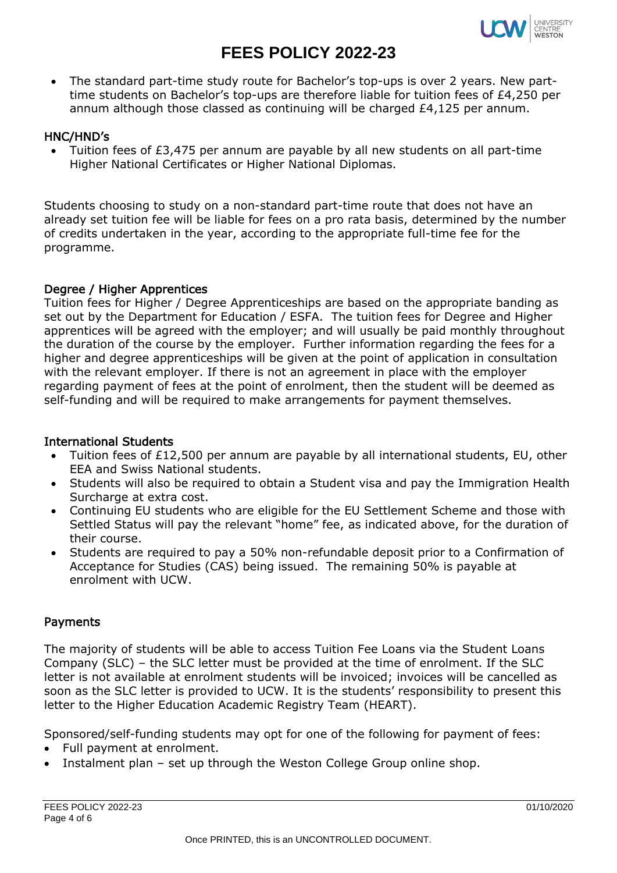

• The standard part-time study route for Bachelor's top-ups is over 2 years. New parttime students on Bachelor's top-ups are therefore liable for tuition fees of £4,250 per annum although those classed as continuing will be charged £4,125 per annum.

# HNC/HND's

• Tuition fees of £3,475 per annum are payable by all new students on all part-time Higher National Certificates or Higher National Diplomas.

Students choosing to study on a non-standard part-time route that does not have an already set tuition fee will be liable for fees on a pro rata basis, determined by the number of credits undertaken in the year, according to the appropriate full-time fee for the programme.

#### Degree / Higher Apprentices

Tuition fees for Higher / Degree Apprenticeships are based on the appropriate banding as set out by the Department for Education / ESFA. The tuition fees for Degree and Higher apprentices will be agreed with the employer; and will usually be paid monthly throughout the duration of the course by the employer. Further information regarding the fees for a higher and degree apprenticeships will be given at the point of application in consultation with the relevant employer. If there is not an agreement in place with the employer regarding payment of fees at the point of enrolment, then the student will be deemed as self-funding and will be required to make arrangements for payment themselves.

### International Students

- Tuition fees of £12,500 per annum are payable by all international students, EU, other EEA and Swiss National students.
- Students will also be required to obtain a Student visa and pay the Immigration Health Surcharge at extra cost.
- Continuing EU students who are eligible for the EU Settlement Scheme and those with Settled Status will pay the relevant "home" fee, as indicated above, for the duration of their course.
- Students are required to pay a 50% non-refundable deposit prior to a Confirmation of Acceptance for Studies (CAS) being issued. The remaining 50% is payable at enrolment with UCW.

# Payments

The majority of students will be able to access Tuition Fee Loans via the Student Loans Company (SLC) – the SLC letter must be provided at the time of enrolment. If the SLC letter is not available at enrolment students will be invoiced; invoices will be cancelled as soon as the SLC letter is provided to UCW. It is the students' responsibility to present this letter to the Higher Education Academic Registry Team (HEART).

Sponsored/self-funding students may opt for one of the following for payment of fees:

- Full payment at enrolment.
- Instalment plan set up through the Weston College Group online shop.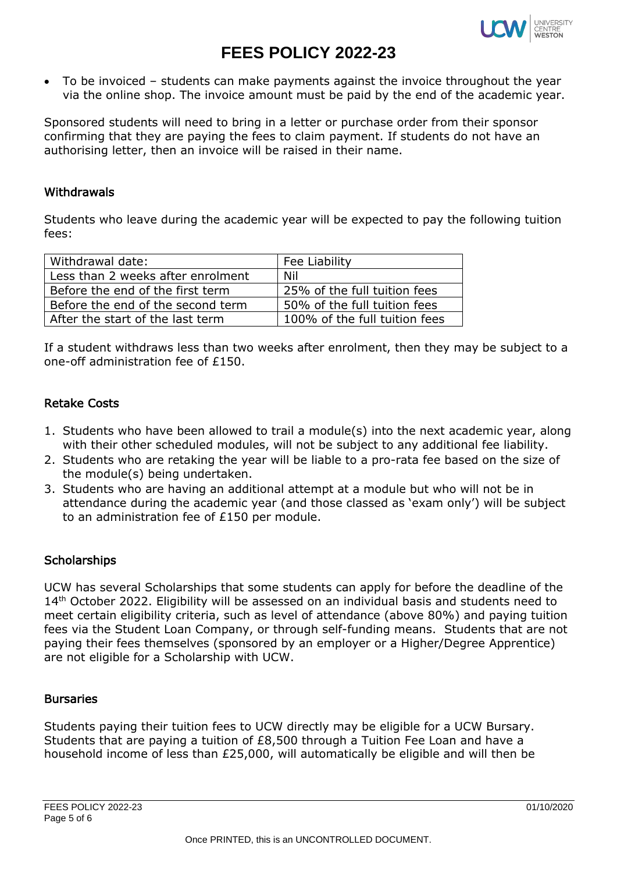

• To be invoiced – students can make payments against the invoice throughout the year via the online shop. The invoice amount must be paid by the end of the academic year.

Sponsored students will need to bring in a letter or purchase order from their sponsor confirming that they are paying the fees to claim payment. If students do not have an authorising letter, then an invoice will be raised in their name.

#### Withdrawals

Students who leave during the academic year will be expected to pay the following tuition fees:

| Withdrawal date:                  | Fee Liability                 |
|-----------------------------------|-------------------------------|
| Less than 2 weeks after enrolment | Nil                           |
| Before the end of the first term  | 25% of the full tuition fees  |
| Before the end of the second term | 50% of the full tuition fees  |
| After the start of the last term  | 100% of the full tuition fees |

If a student withdraws less than two weeks after enrolment, then they may be subject to a one-off administration fee of £150.

# Retake Costs

- 1. Students who have been allowed to trail a module(s) into the next academic year, along with their other scheduled modules, will not be subject to any additional fee liability.
- 2. Students who are retaking the year will be liable to a pro-rata fee based on the size of the module(s) being undertaken.
- 3. Students who are having an additional attempt at a module but who will not be in attendance during the academic year (and those classed as 'exam only') will be subject to an administration fee of £150 per module.

# **Scholarships**

UCW has several Scholarships that some students can apply for before the deadline of the 14<sup>th</sup> October 2022. Eligibility will be assessed on an individual basis and students need to meet certain eligibility criteria, such as level of attendance (above 80%) and paying tuition fees via the Student Loan Company, or through self-funding means. Students that are not paying their fees themselves (sponsored by an employer or a Higher/Degree Apprentice) are not eligible for a Scholarship with UCW.

#### **Bursaries**

Students paying their tuition fees to UCW directly may be eligible for a UCW Bursary. Students that are paying a tuition of £8,500 through a Tuition Fee Loan and have a household income of less than £25,000, will automatically be eligible and will then be